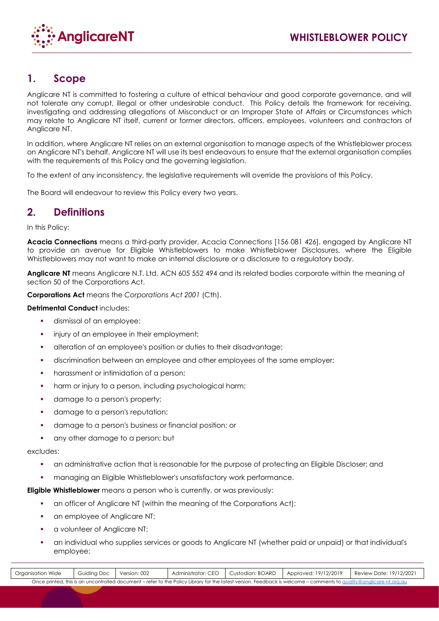

# **1. Scope**

Anglicare NT is committed to fostering a culture of ethical behaviour and good corporate governance, and will not tolerate any corrupt, illegal or other undesirable conduct. This Policy details the framework for receiving, investigating and addressing allegations of Misconduct or an Improper State of Affairs or Circumstances which may relate to Anglicare NT itself, current or former directors, officers, employees, volunteers and contractors of Anglicare NT.

In addition, where Anglicare NT relies on an external organisation to manage aspects of the Whistleblower process on Anglicare NT's behalf, Anglicare NT will use its best endeavours to ensure that the external organisation complies with the requirements of this Policy and the governing legislation.

To the extent of any inconsistency, the legislative requirements will override the provisions of this Policy.

The Board will endeavour to review this Policy every two years.

# **2. Definitions**

In this Policy:

**Acacia Connections** means a third-party provider, Acacia Connections [156 081 426], engaged by Anglicare NT to provide an avenue for Eligible Whistleblowers to make Whistleblower Disclosures, where the Eligible Whistleblowers may not want to make an internal disclosure or a disclosure to a regulatory body.

**Anglicare NT** means Anglicare N.T. Ltd. ACN 605 552 494 and its related bodies corporate within the meaning of section 50 of the Corporations Act.

**Corporations Act** means the *Corporations Act 2001* (Cth).

## **Detrimental Conduct** includes:

- dismissal of an employee;
- injury of an employee in their employment;
- alteration of an employee's position or duties to their disadvantage;
- discrimination between an employee and other employees of the same employer;
- harassment or intimidation of a person;
- **•** harm or injury to a person, including psychological harm;
- **•** damage to a person's property;
- damage to a person's reputation;
- damage to a person's business or financial position; or
- **•** any other damage to a person; but

### excludes:

Doc ID 696899893/v1

- an administrative action that is reasonable for the purpose of protecting an Eligible Discloser; and
- **•** managing an Eligible Whistleblower's unsatisfactory work performance.

**Eligible Whistleblower** means a person who is currently, or was previously:

- an officer of Anglicare NT (within the meaning of the Corporations Act);
- an employee of Anglicare NT;
- a volunteer of Anglicare NT;
- an individual who supplies services or goods to Anglicare NT (whether paid or unpaid) or that individual's employee;

| Organisation Wide                                                                                                                                                  | <b>Guiding Doc</b> | Version: 002 | Administrator: CEO   Custodian: BOARD |  | Approved: 19/12/2019 | Review Date: 19/12/2021 |
|--------------------------------------------------------------------------------------------------------------------------------------------------------------------|--------------------|--------------|---------------------------------------|--|----------------------|-------------------------|
| Once printed, this is an uncontrolled document – refer to the Policy Library for the latest version. Feedback is welcome – comments to quality@anglicare-nt.org.au |                    |              |                                       |  |                      |                         |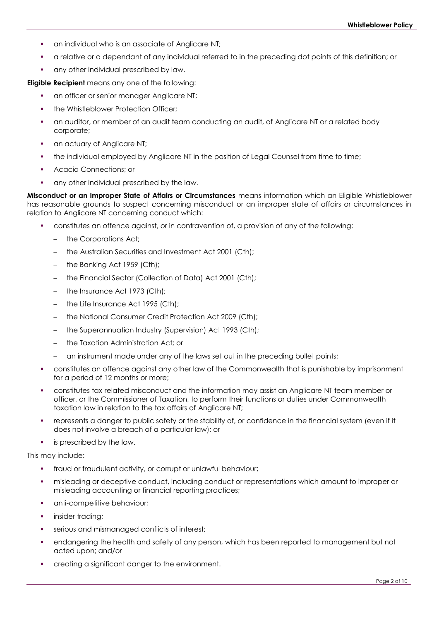- an individual who is an associate of Anglicare NT;
- a relative or a dependant of any individual referred to in the preceding dot points of this definition; or
- **•** any other individual prescribed by law.

**Eligible Recipient** means any one of the following:

- an officer or senior manager Anglicare NT;
- the Whistleblower Protection Officer;
- an auditor, or member of an audit team conducting an audit, of Anglicare NT or a related body corporate;
- an actuary of Anglicare NT;
- **.** the individual employed by Anglicare NT in the position of Legal Counsel from time to time;
- Acacia Connections; or
- any other individual prescribed by the law.

**Misconduct or an Improper State of Affairs or Circumstances** means information which an Eligible Whistleblower has reasonable grounds to suspect concerning misconduct or an improper state of affairs or circumstances in relation to Anglicare NT concerning conduct which:

- constitutes an offence against, or in contravention of, a provision of any of the following:
	- − the Corporations Act;
	- the Australian Securities and Investment Act 2001 (Cth);
	- the Banking Act 1959 (Cth);
	- the Financial Sector (Collection of Data) Act 2001 (Cth);
	- the Insurance Act 1973 (Cth);
	- − the Life Insurance Act 1995 (Cth);
	- the National Consumer Credit Protection Act 2009 (Cth);
	- − the Superannuation Industry (Supervision) Act 1993 (Cth);
	- − the Taxation Administration Act; or
	- an instrument made under any of the laws set out in the preceding bullet points;
- constitutes an offence against any other law of the Commonwealth that is punishable by imprisonment for a period of 12 months or more;
- constitutes tax-related misconduct and the information may assist an Anglicare NT team member or officer, or the Commissioner of Taxation, to perform their functions or duties under Commonwealth taxation law in relation to the tax affairs of Anglicare NT;
- represents a danger to public safety or the stability of, or confidence in the financial system (even if it does not involve a breach of a particular law); or
- **•** is prescribed by the law.

This may include:

- **•** fraud or fraudulent activity, or corrupt or unlawful behaviour;
- **•** misleading or deceptive conduct, including conduct or representations which amount to improper or misleading accounting or financial reporting practices;
- anti-competitive behaviour;
- **·** insider trading;
- **•** serious and mismanaged conflicts of interest;
- endangering the health and safety of any person, which has been reported to management but not acted upon; and/or
- creating a significant danger to the environment.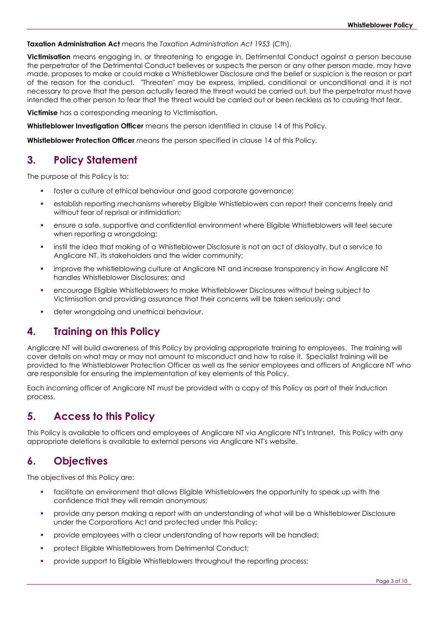**Taxation Administration Act** means the *Taxation Administration Act 1953* (Cth).

**Victimisation** means engaging in, or threatening to engage in, Detrimental Conduct against a person because the perpetrator of the Detrimental Conduct believes or suspects the person or any other person made, may have made, proposes to make or could make a Whistleblower Disclosure and the belief or suspicion is the reason or part of the reason for the conduct. "Threaten" may be express, implied, conditional or unconditional and it is not necessary to prove that the person actually feared the threat would be carried out, but the perpetrator must have intended the other person to fear that the threat would be carried out or been reckless as to causing that fear.

**Victimise** has a corresponding meaning to Victimisation.

**Whistleblower Investigation Officer** means the person identified in clause 14 of this Policy.

**Whistleblower Protection Officer** means the person specified in clause 14 of this Policy.

# **3. Policy Statement**

The purpose of this Policy is to:

- foster a culture of ethical behaviour and good corporate governance;
- establish reporting mechanisms whereby Eligible Whistleblowers can report their concerns freely and without fear of reprisal or intimidation;
- ensure a safe, supportive and confidential environment where Eligible Whistleblowers will feel secure when reporting a wrongdoing;
- instil the idea that making of a Whistleblower Disclosure is not an act of disloyalty, but a service to Anglicare NT, its stakeholders and the wider community;
- **•** improve the whistleblowing culture at Anglicare NT and increase transparency in how Anglicare NT handles Whistleblower Disclosures; and
- encourage Eligible Whistleblowers to make Whistleblower Disclosures without being subject to Victimisation and providing assurance that their concerns will be taken seriously; and
- deter wrongdoing and unethical behaviour.

# **4. Training on this Policy**

Anglicare NT will build awareness of this Policy by providing appropriate training to employees. The training will cover details on what may or may not amount to misconduct and how to raise it. Specialist training will be provided to the Whistleblower Protection Officer as well as the senior employees and officers of Anglicare NT who are responsible for ensuring the implementation of key elements of this Policy.

Each incoming officer of Anglicare NT must be provided with a copy of this Policy as part of their induction process.

# **5. Access to this Policy**

This Policy is available to officers and employees of Anglicare NT via Anglicare NT's Intranet. This Policy with any appropriate deletions is available to external persons via Anglicare NT's website.

# **6. Objectives**

The objectives of this Policy are:

- facilitate an environment that allows Eligible Whistleblowers the opportunity to speak up with the confidence that they will remain anonymous;
- provide any person making a report with an understanding of what will be a Whistleblower Disclosure under the Corporations Act and protected under this Policy;
- **•** provide employees with a clear understanding of how reports will be handled;
- protect Eligible Whistleblowers from Detrimental Conduct;
- provide support to Eligible Whistleblowers throughout the reporting process;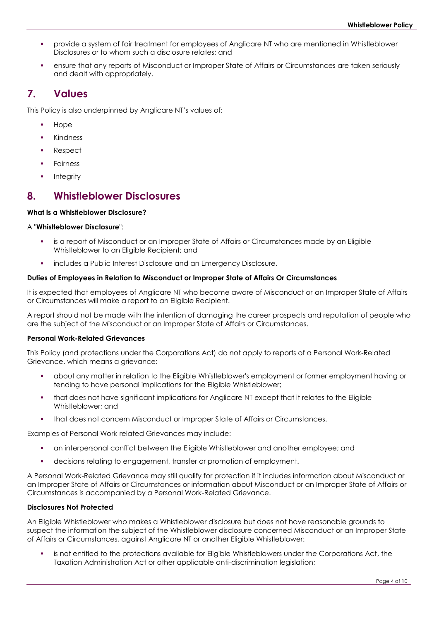- provide a system of fair treatment for employees of Anglicare NT who are mentioned in Whistleblower Disclosures or to whom such a disclosure relates; and
- ensure that any reports of Misconduct or Improper State of Affairs or Circumstances are taken seriously and dealt with appropriately.

## **7. Values**

This Policy is also underpinned by Anglicare NT's values of:

- **Hope**
- **Kindness**
- **Respect**
- **Fairness**
- **Integrity**

## **8. Whistleblower Disclosures**

## **What is a Whistleblower Disclosure?**

## A "**Whistleblower Disclosure**":

- is a report of Misconduct or an Improper State of Affairs or Circumstances made by an Eligible Whistleblower to an Eligible Recipient; and
- includes a Public Interest Disclosure and an Emergency Disclosure.

## **Duties of Employees in Relation to Misconduct or Improper State of Affairs Or Circumstances**

It is expected that employees of Anglicare NT who become aware of Misconduct or an Improper State of Affairs or Circumstances will make a report to an Eligible Recipient.

A report should not be made with the intention of damaging the career prospects and reputation of people who are the subject of the Misconduct or an Improper State of Affairs or Circumstances.

## **Personal Work-Related Grievances**

This Policy (and protections under the Corporations Act) do not apply to reports of a Personal Work-Related Grievance, which means a grievance:

- about any matter in relation to the Eligible Whistleblower's employment or former employment having or tending to have personal implications for the Eligible Whistleblower;
- that does not have significant implications for Anglicare NT except that it relates to the Eligible Whistleblower; and
- **that does not concern Misconduct or Improper State of Affairs or Circumstances.**

Examples of Personal Work-related Grievances may include:

- an interpersonal conflict between the Eligible Whistleblower and another employee; and
- decisions relating to engagement, transfer or promotion of employment.

A Personal Work-Related Grievance may still qualify for protection if it includes information about Misconduct or an Improper State of Affairs or Circumstances or information about Misconduct or an Improper State of Affairs or Circumstances is accompanied by a Personal Work-Related Grievance.

### **Disclosures Not Protected**

An Eligible Whistleblower who makes a Whistleblower disclosure but does not have reasonable grounds to suspect the information the subject of the Whistleblower disclosure concerned Misconduct or an Improper State of Affairs or Circumstances, against Anglicare NT or another Eligible Whistleblower:

is not entitled to the protections available for Eligible Whistleblowers under the Corporations Act, the Taxation Administration Act or other applicable anti-discrimination legislation;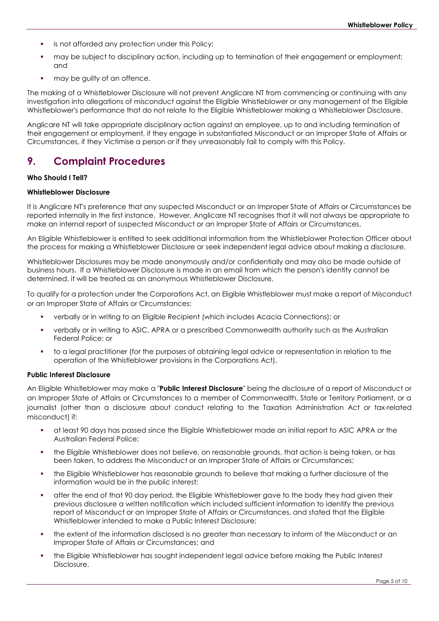- is not afforded any protection under this Policy;
- may be subject to disciplinary action, including up to termination of their engagement or employment; and
- may be quilty of an offence.

The making of a Whistleblower Disclosure will not prevent Anglicare NT from commencing or continuing with any investigation into allegations of misconduct against the Eligible Whistleblower or any management of the Eligible Whistleblower's performance that do not relate to the Eligible Whistleblower making a Whistleblower Disclosure.

Anglicare NT will take appropriate disciplinary action against an employee, up to and including termination of their engagement or employment, if they engage in substantiated Misconduct or an Improper State of Affairs or Circumstances, if they Victimise a person or if they unreasonably fail to comply with this Policy.

## **9. Complaint Procedures**

#### **Who Should I Tell?**

#### **Whistleblower Disclosure**

It is Anglicare NT's preference that any suspected Misconduct or an Improper State of Affairs or Circumstances be reported internally in the first instance. However, Anglicare NT recognises that it will not always be appropriate to make an internal report of suspected Misconduct or an Improper State of Affairs or Circumstances.

An Eligible Whistleblower is entitled to seek additional information from the Whistleblower Protection Officer about the process for making a Whistleblower Disclosure or seek independent legal advice about making a disclosure.

Whistleblower Disclosures may be made anonymously and/or confidentially and may also be made outside of business hours. If a Whistleblower Disclosure is made in an email from which the person's identity cannot be determined, it will be treated as an anonymous Whistleblower Disclosure.

To qualify for a protection under the Corporations Act, an Eligible Whistleblower must make a report of Misconduct or an Improper State of Affairs or Circumstances:

- verbally or in writing to an Eligible Recipient (which includes Acacia Connections); or
- verbally or in writing to ASIC, APRA or a prescribed Commonwealth authority such as the Australian Federal Police; or
- to a legal practitioner (for the purposes of obtaining legal advice or representation in relation to the operation of the Whistleblower provisions in the Corporations Act).

#### **Public Interest Disclosure**

An Eligible Whistleblower may make a "**Public Interest Disclosure**" being the disclosure of a report of Misconduct or an Improper State of Affairs or Circumstances to a member of Commonwealth, State or Territory Parliament, or a journalist (other than a disclosure about conduct relating to the Taxation Administration Act or tax-related misconduct) if:

- at least 90 days has passed since the Eligible Whistleblower made an initial report to ASIC APRA or the Australian Federal Police;
- the Eligible Whistleblower does not believe, on reasonable grounds, that action is being taken, or has been taken, to address the Misconduct or an Improper State of Affairs or Circumstances;
- the Eligible Whistleblower has reasonable grounds to believe that making a further disclosure of the information would be in the public interest;
- after the end of that 90 day period, the Eligible Whistleblower gave to the body they had given their previous disclosure a written notification which included sufficient information to identify the previous report of Misconduct or an Improper State of Affairs or Circumstances, and stated that the Eligible Whistleblower intended to make a Public Interest Disclosure;
- the extent of the information disclosed is no greater than necessary to inform of the Misconduct or an Improper State of Affairs or Circumstances; and
- the Eligible Whistleblower has sought independent legal advice before making the Public Interest Disclosure.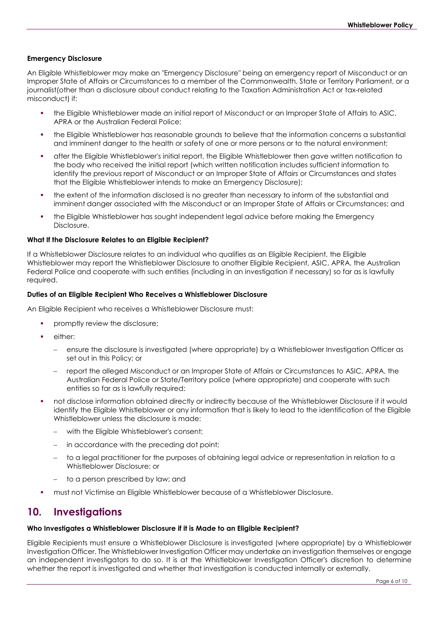### **Emergency Disclosure**

An Eligible Whistleblower may make an "Emergency Disclosure" being an emergency report of Misconduct or an Improper State of Affairs or Circumstances to a member of the Commonwealth, State or Territory Parliament, or a journalist(other than a disclosure about conduct relating to the Taxation Administration Act or tax-related misconduct) if:

- the Eligible Whistleblower made an initial report of Misconduct or an Improper State of Affairs to ASIC, APRA or the Australian Federal Police;
- the Eligible Whistleblower has reasonable grounds to believe that the information concerns a substantial and imminent danger to the health or safety of one or more persons or to the natural environment;
- after the Eligible Whistleblower's initial report, the Eligible Whistleblower then gave written notification to the body who received the initial report (which written notification includes sufficient information to identify the previous report of Misconduct or an Improper State of Affairs or Circumstances and states that the Eligible Whistleblower intends to make an Emergency Disclosure);
- the extent of the information disclosed is no greater than necessary to inform of the substantial and imminent danger associated with the Misconduct or an Improper State of Affairs or Circumstances; and
- the Eligible Whistleblower has sought independent legal advice before making the Emergency Disclosure.

#### **What If the Disclosure Relates to an Eligible Recipient?**

If a Whistleblower Disclosure relates to an individual who qualifies as an Eligible Recipient, the Eligible Whistleblower may report the Whistleblower Disclosure to another Eligible Recipient, ASIC, APRA, the Australian Federal Police and cooperate with such entities (including in an investigation if necessary) so far as is lawfully required.

#### **Duties of an Eligible Recipient Who Receives a Whistleblower Disclosure**

An Eligible Recipient who receives a Whistleblower Disclosure must:

- promptly review the disclosure;
- either<sup>.</sup>
	- − ensure the disclosure is investigated (where appropriate) by a Whistleblower Investigation Officer as set out in this Policy; or
	- report the alleged Misconduct or an Improper State of Affairs or Circumstances to ASIC, APRA, the Australian Federal Police or State/Territory police (where appropriate) and cooperate with such entities so far as is lawfully required;
- not disclose information obtained directly or indirectly because of the Whistleblower Disclosure if it would identify the Eligible Whistleblower or any information that is likely to lead to the identification of the Eligible Whistleblower unless the disclosure is made:
	- with the Eligible Whistleblower's consent;
	- in accordance with the preceding dot point;
	- to a legal practitioner for the purposes of obtaining legal advice or representation in relation to a Whistleblower Disclosure; or
	- to a person prescribed by law; and
- must not Victimise an Eligible Whistleblower because of a Whistleblower Disclosure.

## **10. Investigations**

### **Who Investigates a Whistleblower Disclosure if it is Made to an Eligible Recipient?**

Eligible Recipients must ensure a Whistleblower Disclosure is investigated (where appropriate) by a Whistleblower Investigation Officer. The Whistleblower Investigation Officer may undertake an investigation themselves or engage an independent investigators to do so. It is at the Whistleblower Investigation Officer's discretion to determine whether the report is investigated and whether that investigation is conducted internally or externally.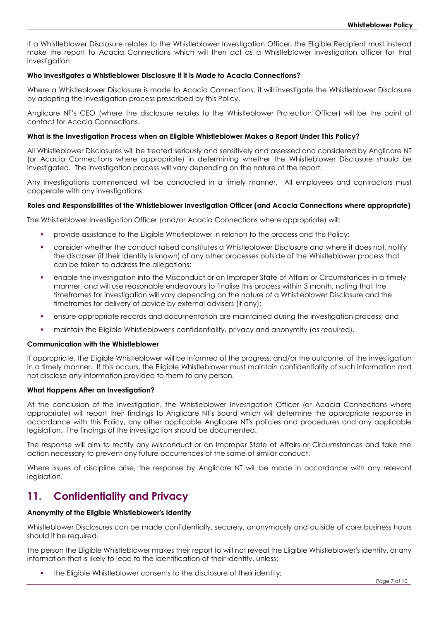If a Whistleblower Disclosure relates to the Whistleblower Investigation Officer, the Eligible Recipient must instead make the report to Acacia Connections which will then act as a Whistleblower investigation officer for that investigation.

#### **Who Investigates a Whistleblower Disclosure if it is Made to Acacia Connections?**

Where a Whistleblower Disclosure is made to Acacia Connections, it will investigate the Whistleblower Disclosure by adopting the investigation process prescribed by this Policy.

Anglicare NT's CEO (where the disclosure relates to the Whistleblower Protection Officer) will be the point of contact for Acacia Connections.

#### **What is the Investigation Process when an Eligible Whistleblower Makes a Report Under This Policy?**

All Whistleblower Disclosures will be treated seriously and sensitively and assessed and considered by Anglicare NT (or Acacia Connections where appropriate) in determining whether the Whistleblower Disclosure should be investigated. The investigation process will vary depending on the nature of the report.

Any investigations commenced will be conducted in a timely manner. All employees and contractors must cooperate with any investigations.

#### **Roles and Responsibilities of the Whistleblower Investigation Officer (and Acacia Connections where appropriate)**

The Whistleblower Investigation Officer (and/or Acacia Connections where appropriate) will:

- provide assistance to the Eligible Whistleblower in relation to the process and this Policy;
- consider whether the conduct raised constitutes a Whistleblower Disclosure and where it does not, notify the discloser (if their identity is known) of any other processes outside of the Whistleblower process that can be taken to address the allegations;
- enable the investigation into the Misconduct or an Improper State of Affairs or Circumstances in a timely manner, and will use reasonable endeavours to finalise this process within 3 month, noting that the timeframes for investigation will vary depending on the nature of a Whistleblower Disclosure and the timeframes for delivery of advice by external advisers (if any);
- ensure appropriate records and documentation are maintained during the investigation process; and
- maintain the Eligible Whistleblower's confidentiality, privacy and anonymity (as required).

### **Communication with the Whistleblower**

If appropriate, the Eligible Whistleblower will be informed of the progress, and/or the outcome, of the investigation in a timely manner. If this occurs, the Eligible Whistleblower must maintain confidentiality of such information and not disclose any information provided to them to any person.

#### **What Happens After an Investigation?**

At the conclusion of the investigation, the Whistleblower Investigation Officer (or Acacia Connections where appropriate) will report their findings to Anglicare NT's Board which will determine the appropriate response in accordance with this Policy, any other applicable Anglicare NT's policies and procedures and any applicable legislation. The findings of the investigation should be documented.

The response will aim to rectify any Misconduct or an Improper State of Affairs or Circumstances and take the action necessary to prevent any future occurrences of the same of similar conduct.

Where issues of discipline arise, the response by Anglicare NT will be made in accordance with any relevant legislation.

## **11. Confidentiality and Privacy**

#### **Anonymity of the Eligible Whistleblower's Identity**

Whistleblower Disclosures can be made confidentially, securely, anonymously and outside of core business hours should it be required.

The person the Eligible Whistleblower makes their report to will not reveal the Eligible Whistleblower's identity, or any information that is likely to lead to the identification of their identity, unless:

the Eligible Whistleblower consents to the disclosure of their identity;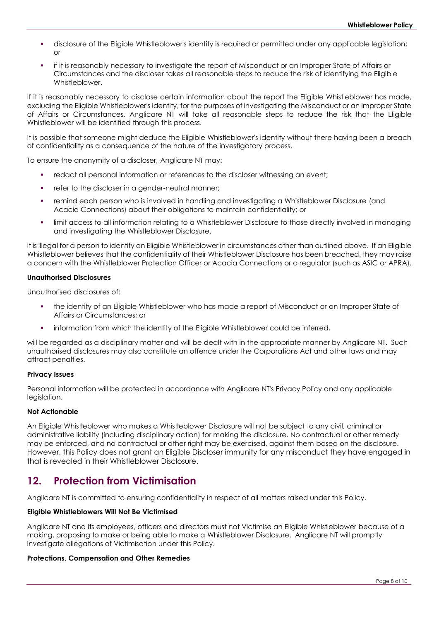- disclosure of the Eligible Whistleblower's identity is required or permitted under any applicable legislation; or
- if it is reasonably necessary to investigate the report of Misconduct or an Improper State of Affairs or Circumstances and the discloser takes all reasonable steps to reduce the risk of identifying the Eligible Whistleblower.

If it is reasonably necessary to disclose certain information about the report the Eligible Whistleblower has made, excluding the Eligible Whistleblower's identity, for the purposes of investigating the Misconduct or an Improper State of Affairs or Circumstances, Anglicare NT will take all reasonable steps to reduce the risk that the Eligible Whistleblower will be identified through this process.

It is possible that someone might deduce the Eligible Whistleblower's identity without there having been a breach of confidentiality as a consequence of the nature of the investigatory process.

To ensure the anonymity of a discloser, Anglicare NT may:

- redact all personal information or references to the discloser witnessing an event;
- **•** refer to the discloser in a gender-neutral manner;
- remind each person who is involved in handling and investigating a Whistleblower Disclosure (and Acacia Connections) about their obligations to maintain confidentiality; or
- limit access to all information relating to a Whistleblower Disclosure to those directly involved in managing and investigating the Whistleblower Disclosure.

It is illegal for a person to identify an Eligible Whistleblower in circumstances other than outlined above. If an Eligible Whistleblower believes that the confidentiality of their Whistleblower Disclosure has been breached, they may raise a concern with the Whistleblower Protection Officer or Acacia Connections or a regulator (such as ASIC or APRA).

#### **Unauthorised Disclosures**

Unauthorised disclosures of:

- the identity of an Eligible Whistleblower who has made a report of Misconduct or an Improper State of Affairs or Circumstances; or
- information from which the identity of the Eligible Whistleblower could be inferred,

will be regarded as a disciplinary matter and will be dealt with in the appropriate manner by Anglicare NT. Such unauthorised disclosures may also constitute an offence under the Corporations Act and other laws and may attract penalties.

#### **Privacy Issues**

Personal information will be protected in accordance with Anglicare NT's Privacy Policy and any applicable legislation.

#### **Not Actionable**

An Eligible Whistleblower who makes a Whistleblower Disclosure will not be subject to any civil, criminal or administrative liability (including disciplinary action) for making the disclosure. No contractual or other remedy may be enforced, and no contractual or other right may be exercised, against them based on the disclosure. However, this Policy does not grant an Eligible Discloser immunity for any misconduct they have engaged in that is revealed in their Whistleblower Disclosure.

## **12. Protection from Victimisation**

Anglicare NT is committed to ensuring confidentiality in respect of all matters raised under this Policy.

### **Eligible Whistleblowers Will Not Be Victimised**

Anglicare NT and its employees, officers and directors must not Victimise an Eligible Whistleblower because of a making, proposing to make or being able to make a Whistleblower Disclosure. Anglicare NT will promptly investigate allegations of Victimisation under this Policy.

### **Protections, Compensation and Other Remedies**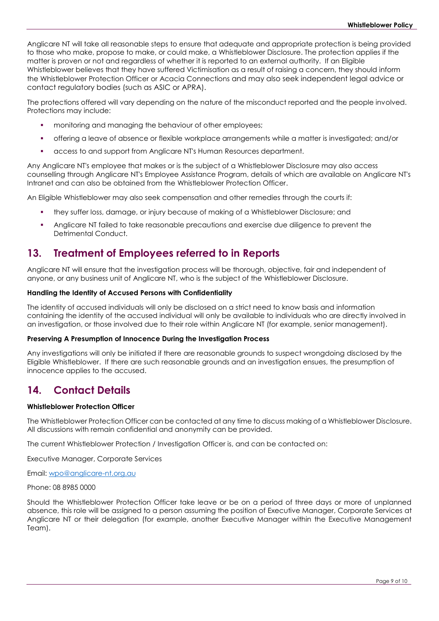Anglicare NT will take all reasonable steps to ensure that adequate and appropriate protection is being provided to those who make, propose to make, or could make, a Whistleblower Disclosure. The protection applies if the matter is proven or not and regardless of whether it is reported to an external authority. If an Eligible Whistleblower believes that they have suffered Victimisation as a result of raising a concern, they should inform the Whistleblower Protection Officer or Acacia Connections and may also seek independent legal advice or contact regulatory bodies (such as ASIC or APRA).

The protections offered will vary depending on the nature of the misconduct reported and the people involved. Protections may include:

- monitoring and managing the behaviour of other employees;
- offering a leave of absence or flexible workplace arrangements while a matter is investigated; and/or
- access to and support from Anglicare NT's Human Resources department.

Any Anglicare NT's employee that makes or is the subject of a Whistleblower Disclosure may also access counselling through Anglicare NT's Employee Assistance Program, details of which are available on Anglicare NT's Intranet and can also be obtained from the Whistleblower Protection Officer.

An Eligible Whistleblower may also seek compensation and other remedies through the courts if:

- they suffer loss, damage, or injury because of making of a Whistleblower Disclosure; and
- Anglicare NT failed to take reasonable precautions and exercise due diligence to prevent the Detrimental Conduct.

## **13. Treatment of Employees referred to in Reports**

Anglicare NT will ensure that the investigation process will be thorough, objective, fair and independent of anyone, or any business unit of Anglicare NT, who is the subject of the Whistleblower Disclosure.

#### **Handling the Identity of Accused Persons with Confidentiality**

The identity of accused individuals will only be disclosed on a strict need to know basis and information containing the identity of the accused individual will only be available to individuals who are directly involved in an investigation, or those involved due to their role within Anglicare NT (for example, senior management).

#### **Preserving A Presumption of Innocence During the Investigation Process**

Any investigations will only be initiated if there are reasonable grounds to suspect wrongdoing disclosed by the Eligible Whistleblower. If there are such reasonable grounds and an investigation ensues, the presumption of innocence applies to the accused.

## **14. Contact Details**

#### **Whistleblower Protection Officer**

The Whistleblower Protection Officer can be contacted at any time to discuss making of a Whistleblower Disclosure. All discussions with remain confidential and anonymity can be provided.

The current Whistleblower Protection / Investigation Officer is, and can be contacted on:

Executive Manager, Corporate Services

Email: [wpo@anglicare-nt.org.au](mailto:wpo@anglicare-nt.org.au)

#### Phone: 08 8985 0000

Should the Whistleblower Protection Officer take leave or be on a period of three days or more of unplanned absence, this role will be assigned to a person assuming the position of Executive Manager, Corporate Services at Anglicare NT or their delegation (for example, another Executive Manager within the Executive Management Team).